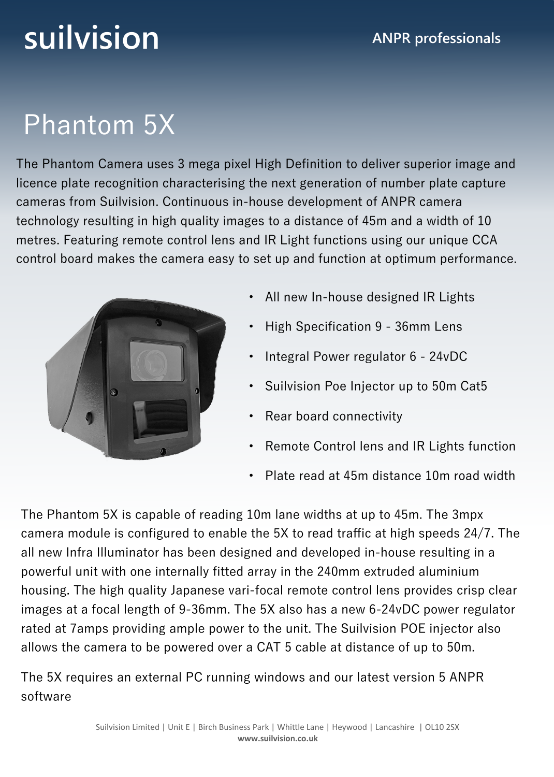# **suilvision ANPR** professionals

### Phantom 5X

The Phantom Camera uses 3 mega pixel High Definition to deliver superior image and licence plate recognition characterising the next generation of number plate capture cameras from Suilvision. Continuous in-house development of ANPR camera technology resulting in high quality images to a distance of 45m and a width of 10 metres. Featuring remote control lens and IR Light functions using our unique CCA control board makes the camera easy to set up and function at optimum performance.



- All new In-house designed IR Lights
- High Specification 9 36mm Lens
- Integral Power regulator 6 24vDC
- Suilvision Poe Injector up to 50m Cat5
- Rear board connectivity
- Remote Control lens and IR Lights function
- Plate read at 45m distance 10m road width

The Phantom 5X is capable of reading 10m lane widths at up to 45m. The 3mpx camera module is configured to enable the 5X to read traffic at high speeds 24/7. The all new Infra Illuminator has been designed and developed in-house resulting in a powerful unit with one internally fitted array in the 240mm extruded aluminium housing. The high quality Japanese vari-focal remote control lens provides crisp clear images at a focal length of 9-36mm. The 5X also has a new 6-24vDC power regulator rated at 7amps providing ample power to the unit. The Suilvision POE injector also allows the camera to be powered over a CAT 5 cable at distance of up to 50m.

The 5X requires an external PC running windows and our latest version 5 ANPR software